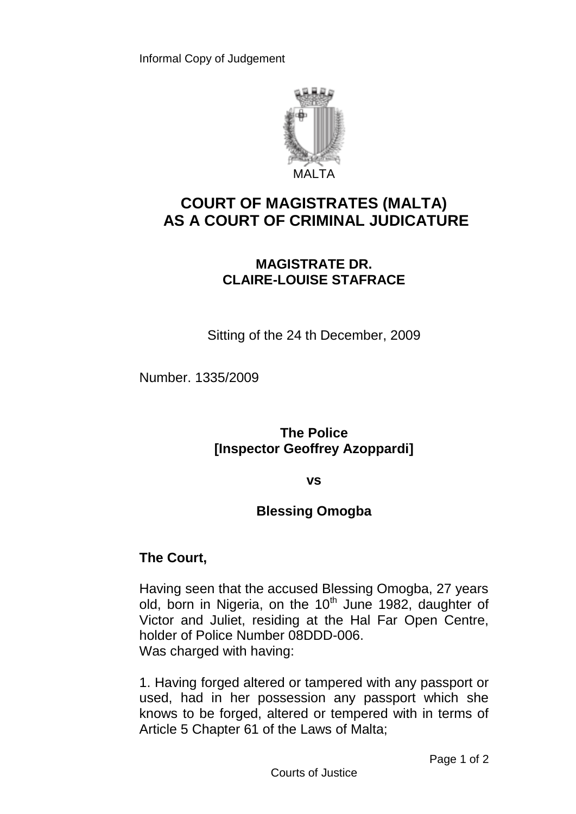

# **COURT OF MAGISTRATES (MALTA) AS A COURT OF CRIMINAL JUDICATURE**

## **MAGISTRATE DR. CLAIRE-LOUISE STAFRACE**

Sitting of the 24 th December, 2009

Number. 1335/2009

**The Police [Inspector Geoffrey Azoppardi]**

#### **vs**

### **Blessing Omogba**

### **The Court,**

Having seen that the accused Blessing Omogba, 27 years old, born in Nigeria, on the  $10<sup>th</sup>$  June 1982, daughter of Victor and Juliet, residing at the Hal Far Open Centre, holder of Police Number 08DDD-006. Was charged with having:

1. Having forged altered or tampered with any passport or used, had in her possession any passport which she knows to be forged, altered or tempered with in terms of Article 5 Chapter 61 of the Laws of Malta;